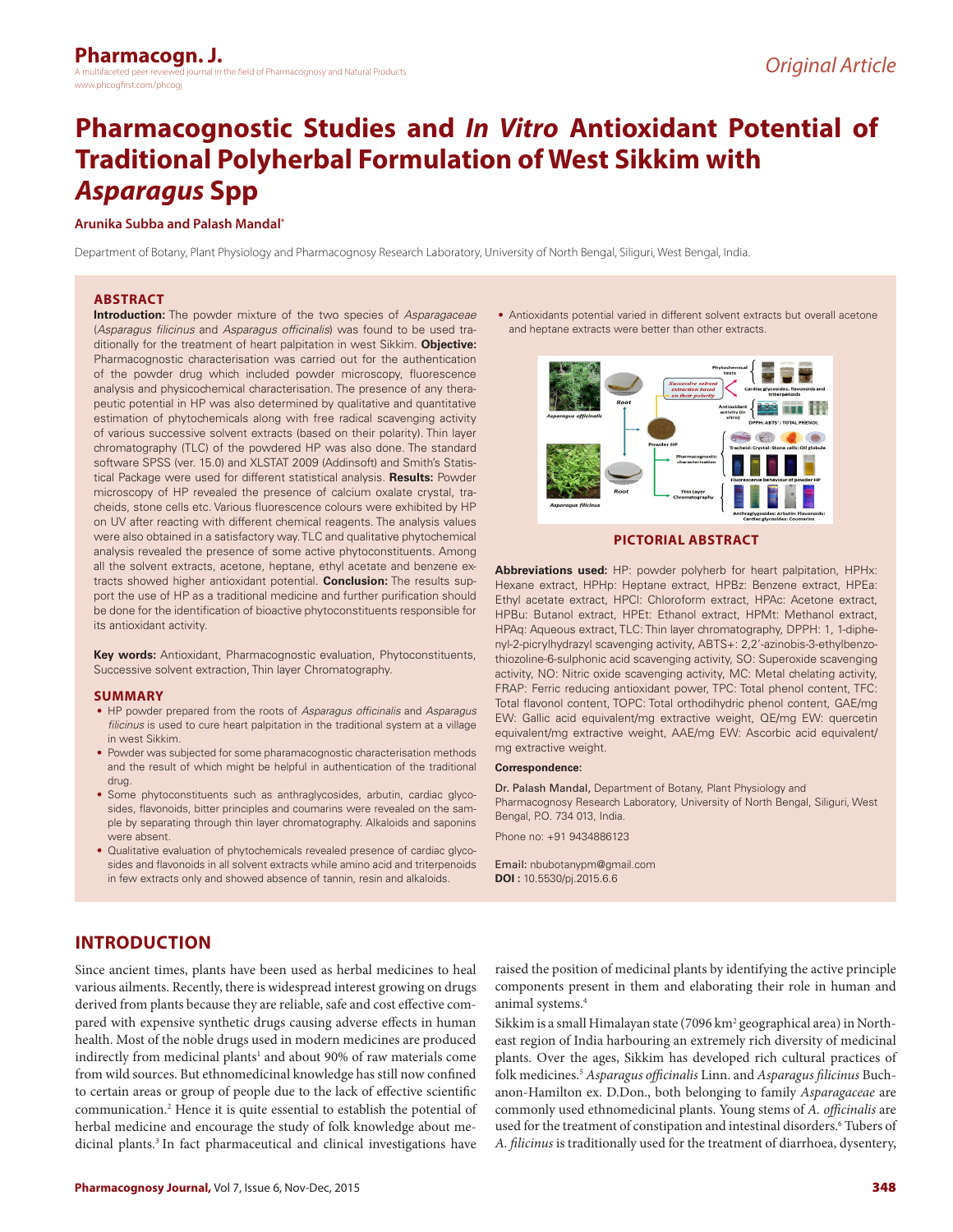# **Pharmacognostic Studies and** *In Vitro* **Antioxidant Potential of Traditional Polyherbal Formulation of West Sikkim with**  *Asparagus* **Spp**

# **Arunika Subba and Palash Mandal\***

Department of Botany, Plant Physiology and Pharmacognosy Research Laboratory, University of North Bengal, Siliguri, West Bengal, India.

## **ABSTRACT**

**Introduction:** The powder mixture of the two species of *Asparagaceae* (*Asparagus filicinus* and *Asparagus officinalis*) was found to be used traditionally for the treatment of heart palpitation in west Sikkim. **Objective:**  Pharmacognostic characterisation was carried out for the authentication of the powder drug which included powder microscopy, fluorescence analysis and physicochemical characterisation. The presence of any therapeutic potential in HP was also determined by qualitative and quantitative estimation of phytochemicals along with free radical scavenging activity of various successive solvent extracts (based on their polarity). Thin layer chromatography (TLC) of the powdered HP was also done. The standard software SPSS (ver. 15.0) and XLSTAT 2009 (Addinsoft) and Smith's Statistical Package were used for different statistical analysis. **Results:** Powder microscopy of HP revealed the presence of calcium oxalate crystal, tracheids, stone cells etc. Various fluorescence colours were exhibited by HP on UV after reacting with different chemical reagents. The analysis values were also obtained in a satisfactory way. TLC and qualitative phytochemical analysis revealed the presence of some active phytoconstituents. Among all the solvent extracts, acetone, heptane, ethyl acetate and benzene extracts showed higher antioxidant potential. **Conclusion:** The results support the use of HP as a traditional medicine and further purification should be done for the identification of bioactive phytoconstituents responsible for its antioxidant activity.

**Key words:** Antioxidant, Pharmacognostic evaluation, Phytoconstituents, Successive solvent extraction, Thin layer Chromatography.

#### **SUMMARY**

- HP powder prepared from the roots of *Asparagus officinalis* and *Asparagus filicinus* is used to cure heart palpitation in the traditional system at a village in west Sikkim.
- Powder was subjected for some pharamacognostic characterisation methods and the result of which might be helpful in authentication of the traditional drug.
- Some phytoconstituents such as anthraglycosides, arbutin, cardiac glycosides, flavonoids, bitter principles and coumarins were revealed on the sample by separating through thin layer chromatography. Alkaloids and saponins were absent.
- Qualitative evaluation of phytochemicals revealed presence of cardiac glycosides and flavonoids in all solvent extracts while amino acid and triterpenoids in few extracts only and showed absence of tannin, resin and alkaloids.

• Antioxidants potential varied in different solvent extracts but overall acetone and heptane extracts were better than other extracts.



# **PICTORIAL ABSTRACT**

**Abbreviations used:** HP: powder polyherb for heart palpitation, HPHx: Hexane extract, HPHp: Heptane extract, HPBz: Benzene extract, HPEa: Ethyl acetate extract, HPCl: Chloroform extract, HPAc: Acetone extract, HPBu: Butanol extract, HPEt: Ethanol extract, HPMt: Methanol extract, HPAq: Aqueous extract, TLC: Thin layer chromatography, DPPH: 1, 1-diphenyl-2-picrylhydrazyl scavenging activity, ABTS+: 2,2'-azinobis-3-ethylbenzothiozoline-6-sulphonic acid scavenging activity, SO: Superoxide scavenging activity, NO: Nitric oxide scavenging activity, MC: Metal chelating activity, FRAP: Ferric reducing antioxidant power, TPC: Total phenol content, TFC: Total flavonol content, TOPC: Total orthodihydric phenol content, GAE/mg EW: Gallic acid equivalent/mg extractive weight, QE/mg EW: quercetin equivalent/mg extractive weight, AAE/mg EW: Ascorbic acid equivalent/ mg extractive weight.

#### **Correspondence:**

Dr. Palash Mandal, Department of Botany, Plant Physiology and Pharmacognosy Research Laboratory, University of North Bengal, Siliguri, West Bengal, P.O. 734 013, India.

Phone no: +91 9434886123

Email: nbubotanypm@gmail.com **DOI :** 10.5530/pj.2015.6.6

# **INTRODUCTION**

Since ancient times, plants have been used as herbal medicines to heal various ailments. Recently, there is widespread interest growing on drugs derived from plants because they are reliable, safe and cost effective compared with expensive synthetic drugs causing adverse effects in human health. Most of the noble drugs used in modern medicines are produced indirectly from medicinal plants<sup>1</sup> and about 90% of raw materials come from wild sources. But ethnomedicinal knowledge has still now confined to certain areas or group of people due to the lack of effective scientific communication.2 Hence it is quite essential to establish the potential of herbal medicine and encourage the study of folk knowledge about medicinal plants.3 In fact pharmaceutical and clinical investigations have

raised the position of medicinal plants by identifying the active principle components present in them and elaborating their role in human and animal systems.4

Sikkim is a small Himalayan state (7096 km<sup>2</sup> geographical area) in Northeast region of India harbouring an extremely rich diversity of medicinal plants. Over the ages, Sikkim has developed rich cultural practices of folk medicines.5 *Asparagus officinalis* Linn. and *Asparagus filicinus* Buchanon-Hamilton ex. D.Don., both belonging to family *Asparagaceae* are commonly used ethnomedicinal plants. Young stems of *A. officinalis* are used for the treatment of constipation and intestinal disorders.<sup>6</sup> Tubers of *A. filicinus* is traditionally used for the treatment of diarrhoea, dysentery,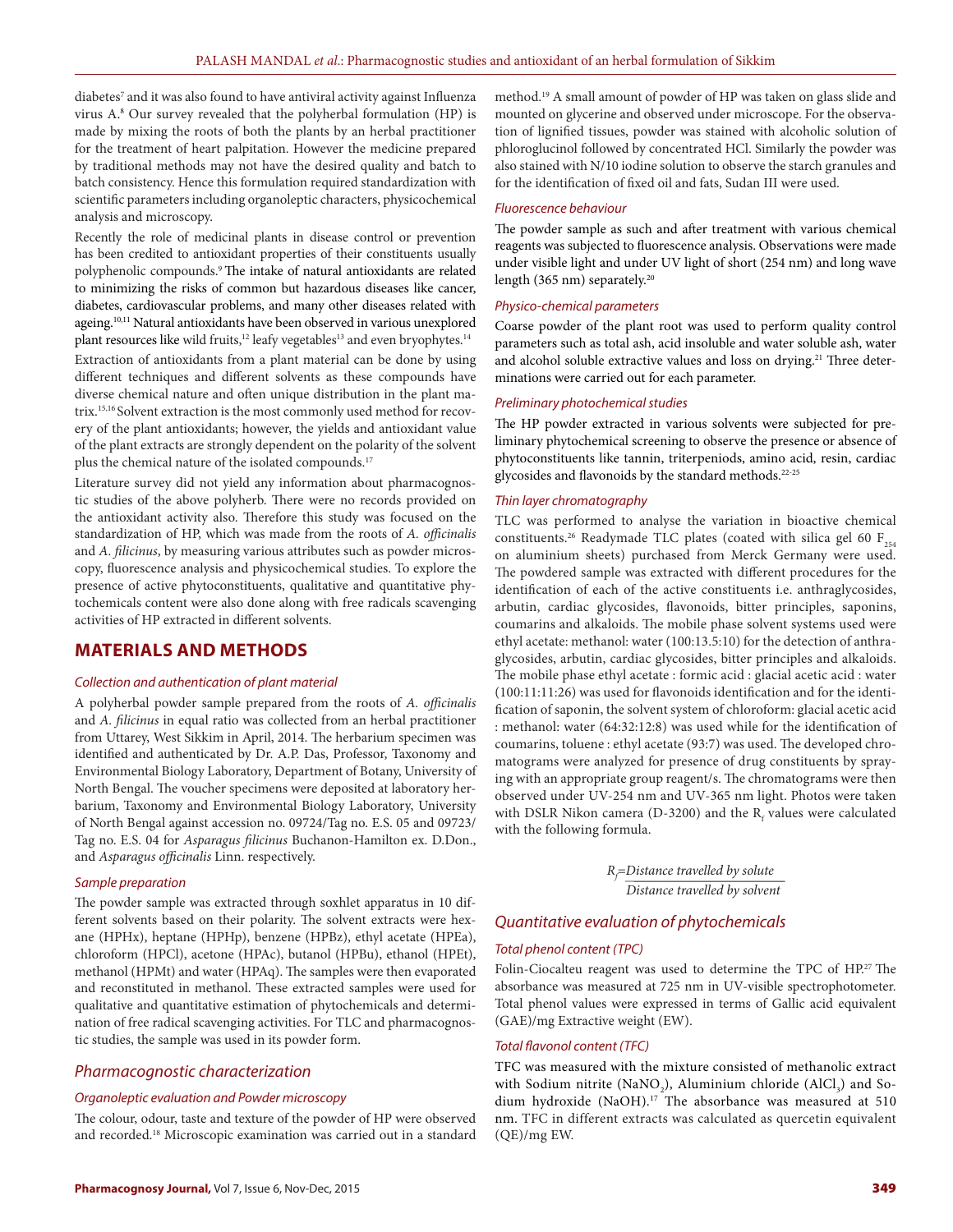diabetes<sup>7</sup> and it was also found to have antiviral activity against Influenza virus A. 8 Our survey revealed that the polyherbal formulation (HP) is made by mixing the roots of both the plants by an herbal practitioner for the treatment of heart palpitation. However the medicine prepared by traditional methods may not have the desired quality and batch to batch consistency. Hence this formulation required standardization with scientific parameters including organoleptic characters, physicochemical analysis and microscopy.

Recently the role of medicinal plants in disease control or prevention has been credited to antioxidant properties of their constituents usually polyphenolic compounds.9 The intake of natural antioxidants are related to minimizing the risks of common but hazardous diseases like cancer, diabetes, cardiovascular problems, and many other diseases related with ageing.10,11 Natural antioxidants have been observed in various unexplored plant resources like wild fruits,<sup>12</sup> leafy vegetables<sup>13</sup> and even bryophytes.<sup>14</sup> Extraction of antioxidants from a plant material can be done by using different techniques and different solvents as these compounds have diverse chemical nature and often unique distribution in the plant matrix.15,16 Solvent extraction is the most commonly used method for recovery of the plant antioxidants; however, the yields and antioxidant value

of the plant extracts are strongly dependent on the polarity of the solvent plus the chemical nature of the isolated compounds.<sup>17</sup>

Literature survey did not yield any information about pharmacognostic studies of the above polyherb. There were no records provided on the antioxidant activity also. Therefore this study was focused on the standardization of HP, which was made from the roots of *A. officinalis*  and *A. filicinus*, by measuring various attributes such as powder microscopy, fluorescence analysis and physicochemical studies. To explore the presence of active phytoconstituents, qualitative and quantitative phytochemicals content were also done along with free radicals scavenging activities of HP extracted in different solvents.

# **MATERIALS AND METHODS**

# *Collection and authentication of plant material*

A polyherbal powder sample prepared from the roots of *A. officinalis* and *A. filicinus* in equal ratio was collected from an herbal practitioner from Uttarey, West Sikkim in April, 2014. The herbarium specimen was identified and authenticated by Dr. A.P. Das, Professor, Taxonomy and Environmental Biology Laboratory, Department of Botany, University of North Bengal. The voucher specimens were deposited at laboratory herbarium, Taxonomy and Environmental Biology Laboratory, University of North Bengal against accession no. 09724/Tag no. E.S. 05 and 09723/ Tag no. E.S. 04 for *Asparagus filicinus* Buchanon-Hamilton ex. D.Don., and *Asparagus officinalis* Linn. respectively.

#### *Sample preparation*

The powder sample was extracted through soxhlet apparatus in 10 different solvents based on their polarity. The solvent extracts were hexane (HPHx), heptane (HPHp), benzene (HPBz), ethyl acetate (HPEa), chloroform (HPCl), acetone (HPAc), butanol (HPBu), ethanol (HPEt), methanol (HPMt) and water (HPAq). The samples were then evaporated and reconstituted in methanol. These extracted samples were used for qualitative and quantitative estimation of phytochemicals and determination of free radical scavenging activities. For TLC and pharmacognostic studies, the sample was used in its powder form.

# *Pharmacognostic characterization*

#### *Organoleptic evaluation and Powder microscopy*

The colour, odour, taste and texture of the powder of HP were observed and recorded.18 Microscopic examination was carried out in a standard method.19 A small amount of powder of HP was taken on glass slide and mounted on glycerine and observed under microscope. For the observation of lignified tissues, powder was stained with alcoholic solution of phloroglucinol followed by concentrated HCl. Similarly the powder was also stained with N/10 iodine solution to observe the starch granules and for the identification of fixed oil and fats, Sudan III were used.

#### *Fluorescence behaviour*

The powder sample as such and after treatment with various chemical reagents was subjected to fluorescence analysis. Observations were made under visible light and under UV light of short (254 nm) and long wave length (365 nm) separately.<sup>20</sup>

#### *Physico-chemical parameters*

Coarse powder of the plant root was used to perform quality control parameters such as total ash, acid insoluble and water soluble ash, water and alcohol soluble extractive values and loss on drying.<sup>21</sup> Three determinations were carried out for each parameter.

#### *Preliminary photochemical studies*

The HP powder extracted in various solvents were subjected for preliminary phytochemical screening to observe the presence or absence of phytoconstituents like tannin, triterpeniods, amino acid, resin, cardiac glycosides and flavonoids by the standard methods.22-25

#### *Thin layer chromatography*

TLC was performed to analyse the variation in bioactive chemical constituents.<sup>26</sup> Readymade TLC plates (coated with silica gel 60  $F_{254}$ on aluminium sheets) purchased from Merck Germany were used. The powdered sample was extracted with different procedures for the identification of each of the active constituents i.e. anthraglycosides, arbutin, cardiac glycosides, flavonoids, bitter principles, saponins, coumarins and alkaloids. The mobile phase solvent systems used were ethyl acetate: methanol: water (100:13.5:10) for the detection of anthraglycosides, arbutin, cardiac glycosides, bitter principles and alkaloids. The mobile phase ethyl acetate : formic acid : glacial acetic acid : water (100:11:11:26) was used for flavonoids identification and for the identification of saponin, the solvent system of chloroform: glacial acetic acid : methanol: water (64:32:12:8) was used while for the identification of coumarins, toluene : ethyl acetate (93:7) was used. The developed chromatograms were analyzed for presence of drug constituents by spraying with an appropriate group reagent/s. The chromatograms were then observed under UV-254 nm and UV-365 nm light. Photos were taken with DSLR Nikon camera (D-3200) and the  $R_f$  values were calculated with the following formula.

 *Rf =Distance travelled by solute Distance travelled by solvent*

# *Quantitative evaluation of phytochemicals*

## *Total phenol content (TPC)*

Folin-Ciocalteu reagent was used to determine the TPC of HP.<sup>27</sup> The absorbance was measured at 725 nm in UV-visible spectrophotometer. Total phenol values were expressed in terms of Gallic acid equivalent (GAE)/mg Extractive weight (EW).

## *Total flavonol content (TFC)*

TFC was measured with the mixture consisted of methanolic extract with Sodium nitrite (NaNO<sub>2</sub>), Aluminium chloride (AlCl<sub>3</sub>) and Sodium hydroxide (NaOH).<sup>17</sup> The absorbance was measured at 510 nm. TFC in different extracts was calculated as quercetin equivalent (QE)/mg EW.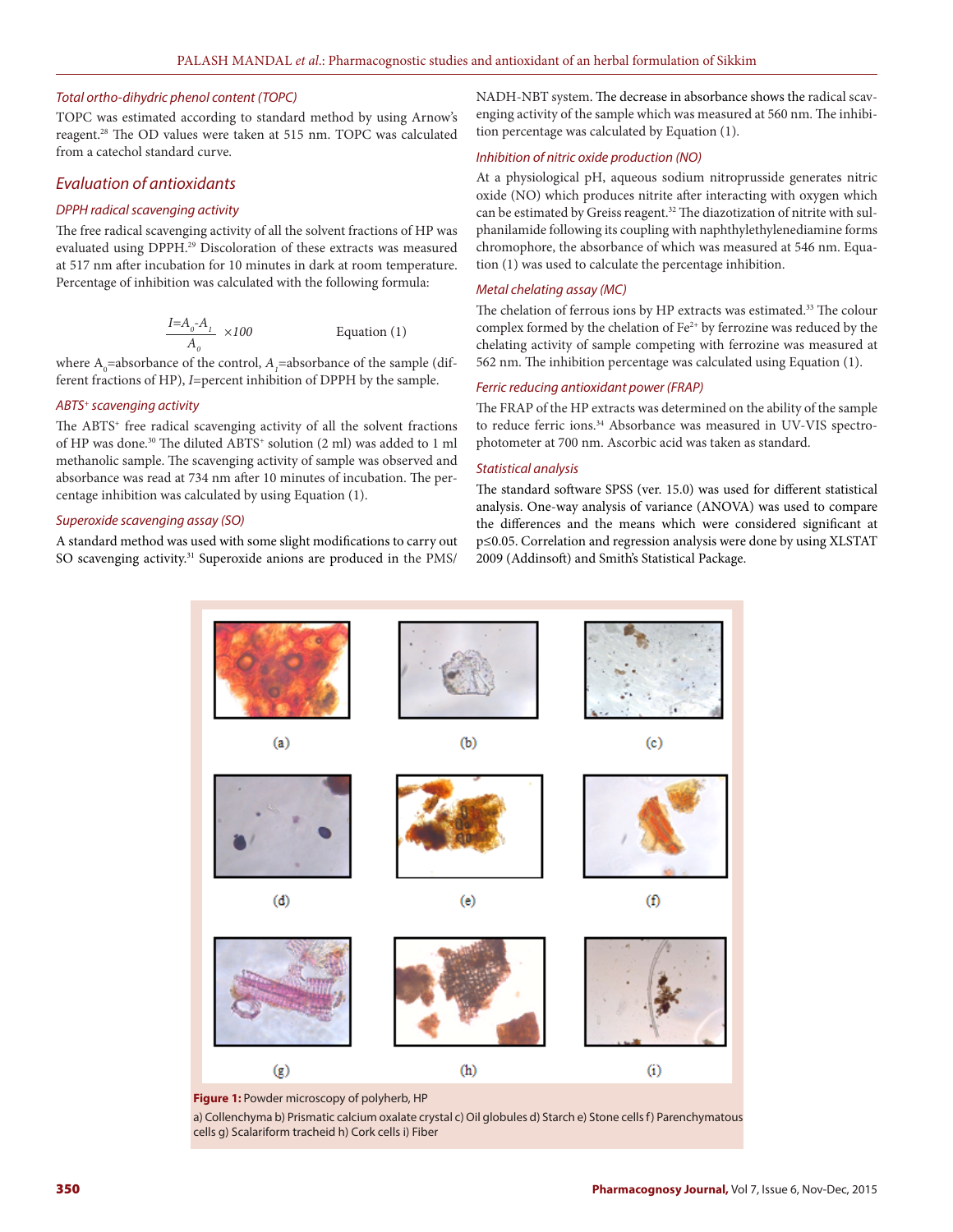#### *Total ortho-dihydric phenol content (TOPC)*

TOPC was estimated according to standard method by using Arnow's reagent.28 The OD values were taken at 515 nm. TOPC was calculated from a catechol standard curve.

# *Evaluation of antioxidants*

## *DPPH radical scavenging activity*

The free radical scavenging activity of all the solvent fractions of HP was evaluated using DPPH.29 Discoloration of these extracts was measured at 517 nm after incubation for 10 minutes in dark at room temperature. Percentage of inhibition was calculated with the following formula:

$$
\frac{I = A_o - A_1}{A_o} \times 100
$$
 Equation (1)

where  $A_0$ =absorbance of the control,  $A_1$ =absorbance of the sample (different fractions of HP), *I*=percent inhibition of DPPH by the sample.

#### *ABTS+ scavenging activity*

The ABTS<sup>+</sup> free radical scavenging activity of all the solvent fractions of HP was done.<sup>30</sup> The diluted ABTS<sup>+</sup> solution (2 ml) was added to 1 ml methanolic sample. The scavenging activity of sample was observed and absorbance was read at 734 nm after 10 minutes of incubation. The percentage inhibition was calculated by using Equation (1).

#### *Superoxide scavenging assay (SO)*

A standard method was used with some slight modifications to carry out SO scavenging activity.<sup>31</sup> Superoxide anions are produced in the PMS/ NADH-NBT system. The decrease in absorbance shows the radical scavenging activity of the sample which was measured at 560 nm. The inhibition percentage was calculated by Equation (1).

## *Inhibition of nitric oxide production (NO)*

At a physiological pH, aqueous sodium nitroprusside generates nitric oxide (NO) which produces nitrite after interacting with oxygen which can be estimated by Greiss reagent.<sup>32</sup> The diazotization of nitrite with sulphanilamide following its coupling with naphthylethylenediamine forms chromophore, the absorbance of which was measured at 546 nm. Equation (1) was used to calculate the percentage inhibition.

#### *Metal chelating assay (MC)*

The chelation of ferrous ions by HP extracts was estimated.<sup>33</sup> The colour complex formed by the chelation of  $Fe^{2+}$  by ferrozine was reduced by the chelating activity of sample competing with ferrozine was measured at 562 nm. The inhibition percentage was calculated using Equation (1).

# *Ferric reducing antioxidant power (FRAP)*

The FRAP of the HP extracts was determined on the ability of the sample to reduce ferric ions.<sup>34</sup> Absorbance was measured in UV-VIS spectrophotometer at 700 nm. Ascorbic acid was taken as standard.

# *Statistical analysis*

The standard software SPSS (ver. 15.0) was used for different statistical analysis. One-way analysis of variance (ANOVA) was used to compare the differences and the means which were considered significant at p≤0.05. Correlation and regression analysis were done by using XLSTAT 2009 (Addinsoft) and Smith's Statistical Package.



**Figure 1:** Powder microscopy of polyherb, HP

a) Collenchyma b) Prismatic calcium oxalate crystal c) Oil globules d) Starch e) Stone cells f) Parenchymatous cells g) Scalariform tracheid h) Cork cells i) Fiber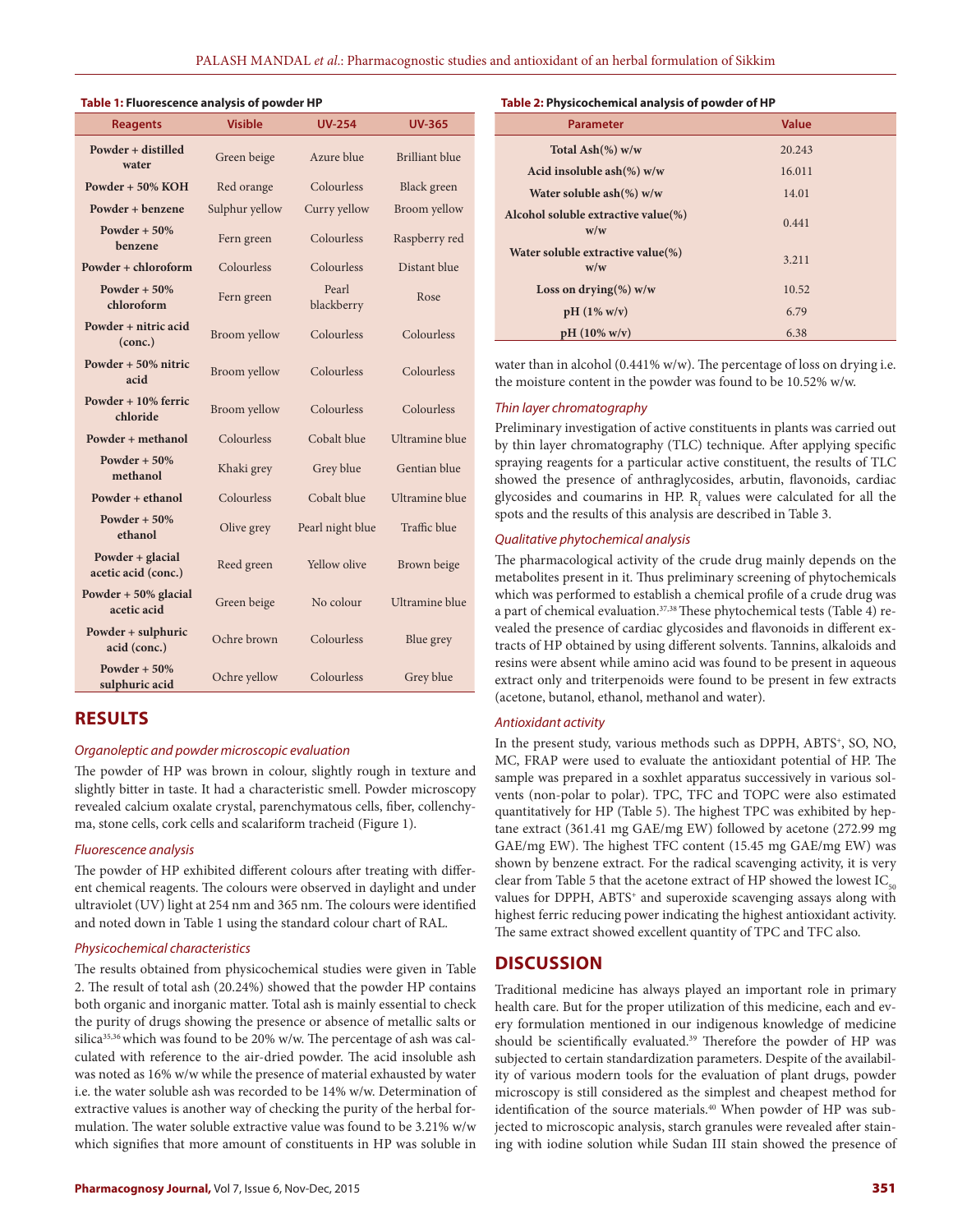#### **Table 1: Fluorescence analysis of powder HP**

| <b>Reagents</b>                         | <b>Visible</b> | <b>UV-254</b>       | <b>UV-365</b>         |  |
|-----------------------------------------|----------------|---------------------|-----------------------|--|
| Powder + distilled<br>water             | Green beige    | Azure blue          | <b>Brilliant blue</b> |  |
| Powder $+50\%$ KOH                      | Red orange     | Colourless          | Black green           |  |
| Powder + benzene                        | Sulphur yellow | Curry yellow        | Broom yellow          |  |
| Powder $+50%$<br>benzene                | Fern green     | Colourless          | Raspberry red         |  |
| Powder + chloroform                     | Colourless     | Colourless          | Distant blue          |  |
| Powder $+50%$<br>chloroform             | Fern green     | Pearl<br>blackberry | Rose                  |  |
| Powder + nitric acid<br>(conc.)         | Broom yellow   | Colourless          | Colourless            |  |
| Powder + 50% nitric<br>acid             | Broom yellow   | Colourless          | Colourless            |  |
| Powder + 10% ferric<br>chloride         | Broom yellow   | Colourless          | Colourless            |  |
| Powder + methanol                       | Colourless     | Cobalt blue         | <b>Ultramine</b> blue |  |
| Powder $+50%$<br>methanol               | Khaki grey     | Grey blue           | Gentian blue          |  |
| Powder + ethanol                        | Colourless     | Cobalt blue         | Ultramine blue        |  |
| Powder + $50\%$<br>ethanol              | Olive grey     | Pearl night blue    | Traffic blue          |  |
| Powder + glacial<br>acetic acid (conc.) | Reed green     | Yellow olive        | Brown beige           |  |
| Powder $+50\%$ glacial<br>acetic acid   | Green beige    | No colour           | <b>Ultramine</b> blue |  |
| Powder + sulphuric<br>acid (conc.)      | Ochre brown    | Colourless          | Blue grey             |  |
| Powder + $50\%$<br>sulphuric acid       | Ochre yellow   | Colourless          | Grey blue             |  |

# **RESULTS**

# *Organoleptic and powder microscopic evaluation*

The powder of HP was brown in colour, slightly rough in texture and slightly bitter in taste. It had a characteristic smell. Powder microscopy revealed calcium oxalate crystal, parenchymatous cells, fiber, collenchyma, stone cells, cork cells and scalariform tracheid (Figure 1).

#### *Fluorescence analysis*

The powder of HP exhibited different colours after treating with different chemical reagents. The colours were observed in daylight and under ultraviolet (UV) light at 254 nm and 365 nm. The colours were identified and noted down in Table 1 using the standard colour chart of RAL.

## *Physicochemical characteristics*

The results obtained from physicochemical studies were given in Table 2. The result of total ash (20.24%) showed that the powder HP contains both organic and inorganic matter. Total ash is mainly essential to check the purity of drugs showing the presence or absence of metallic salts or silica<sup>35,36</sup> which was found to be 20% w/w. The percentage of ash was calculated with reference to the air-dried powder. The acid insoluble ash was noted as 16% w/w while the presence of material exhausted by water i.e. the water soluble ash was recorded to be 14% w/w. Determination of extractive values is another way of checking the purity of the herbal formulation. The water soluble extractive value was found to be 3.21% w/w which signifies that more amount of constituents in HP was soluble in

#### **Table 2: Physicochemical analysis of powder of HP**

| <b>Parameter</b>                           | <b>Value</b> |
|--------------------------------------------|--------------|
| Total Ash $(\%)$ w/w                       | 20.243       |
| Acid insoluble ash $(\%)$ w/w              | 16.011       |
| Water soluble $ash(\%)$ w/w                | 14.01        |
| Alcohol soluble extractive value(%)<br>w/w | 0.441        |
| Water soluble extractive value(%)<br>w/w   | 3.211        |
| Loss on drying(%) $w/w$                    | 10.52        |
| $pH(1\% w/v)$                              | 6.79         |
| $pH (10\% w/v)$                            | 6.38         |

water than in alcohol (0.441% w/w). The percentage of loss on drying i.e. the moisture content in the powder was found to be 10.52% w/w.

#### *Thin layer chromatography*

Preliminary investigation of active constituents in plants was carried out by thin layer chromatography (TLC) technique. After applying specific spraying reagents for a particular active constituent, the results of TLC showed the presence of anthraglycosides, arbutin, flavonoids, cardiac glycosides and coumarins in HP.  $R_f$  values were calculated for all the spots and the results of this analysis are described in Table 3.

## *Qualitative phytochemical analysis*

The pharmacological activity of the crude drug mainly depends on the metabolites present in it. Thus preliminary screening of phytochemicals which was performed to establish a chemical profile of a crude drug was a part of chemical evaluation.<sup>37,38</sup> These phytochemical tests (Table 4) revealed the presence of cardiac glycosides and flavonoids in different extracts of HP obtained by using different solvents. Tannins, alkaloids and resins were absent while amino acid was found to be present in aqueous extract only and triterpenoids were found to be present in few extracts (acetone, butanol, ethanol, methanol and water).

#### *Antioxidant activity*

In the present study, various methods such as DPPH, ABTS<sup>+</sup>, SO, NO, MC, FRAP were used to evaluate the antioxidant potential of HP. The sample was prepared in a soxhlet apparatus successively in various solvents (non-polar to polar). TPC, TFC and TOPC were also estimated quantitatively for HP (Table 5). The highest TPC was exhibited by heptane extract (361.41 mg GAE/mg EW) followed by acetone (272.99 mg GAE/mg EW). The highest TFC content (15.45 mg GAE/mg EW) was shown by benzene extract. For the radical scavenging activity, it is very clear from Table 5 that the acetone extract of HP showed the lowest  $IC_{50}$ values for DPPH, ABTS<sup>+</sup> and superoxide scavenging assays along with highest ferric reducing power indicating the highest antioxidant activity. The same extract showed excellent quantity of TPC and TFC also.

# **DISCUSSION**

Traditional medicine has always played an important role in primary health care. But for the proper utilization of this medicine, each and every formulation mentioned in our indigenous knowledge of medicine should be scientifically evaluated.<sup>39</sup> Therefore the powder of HP was subjected to certain standardization parameters. Despite of the availability of various modern tools for the evaluation of plant drugs, powder microscopy is still considered as the simplest and cheapest method for identification of the source materials.<sup>40</sup> When powder of HP was subjected to microscopic analysis, starch granules were revealed after staining with iodine solution while Sudan III stain showed the presence of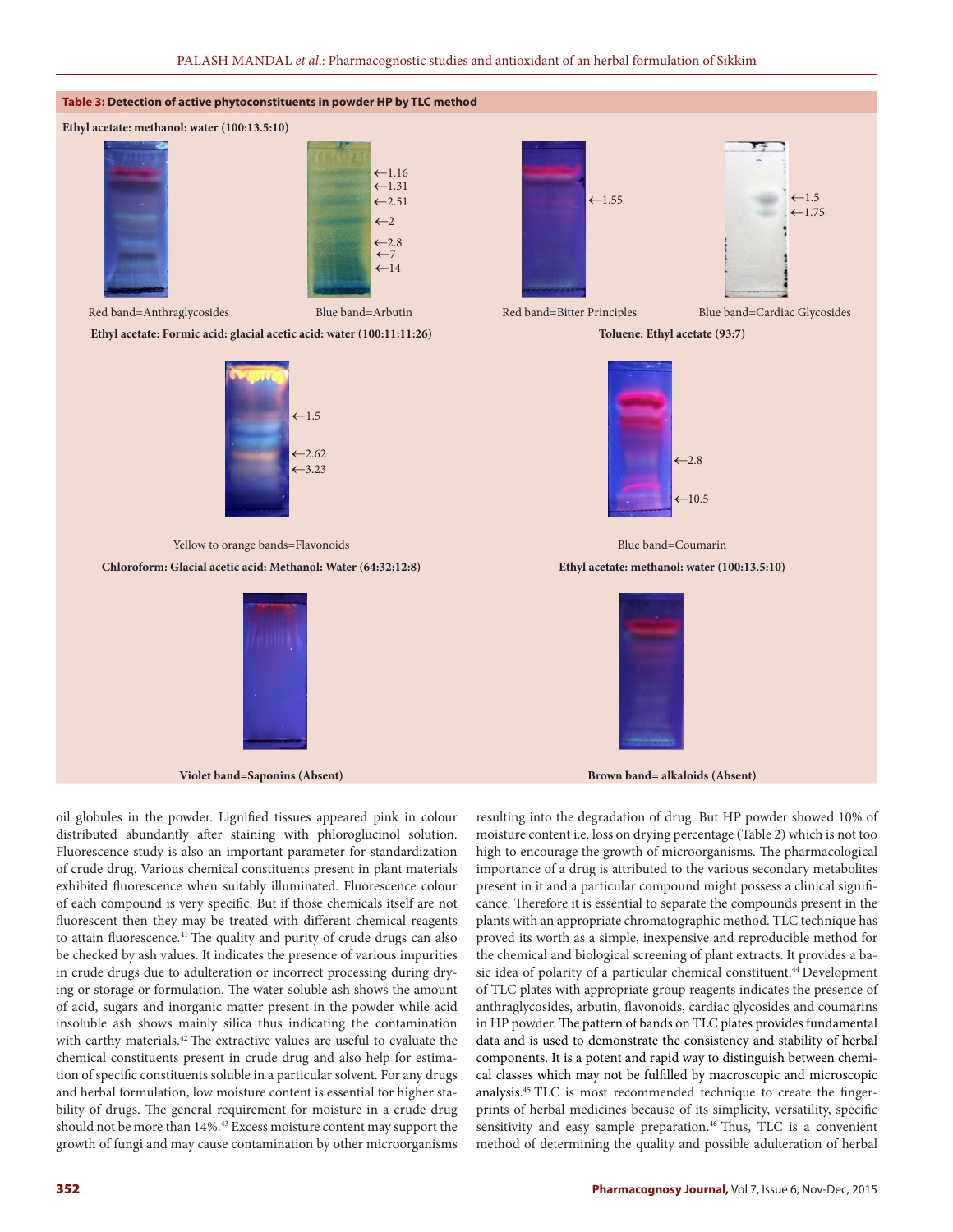

Fluorescence study is also an important parameter for standardization of crude drug. Various chemical constituents present in plant materials exhibited fluorescence when suitably illuminated. Fluorescence colour of each compound is very specific. But if those chemicals itself are not fluorescent then they may be treated with different chemical reagents to attain fluorescence.<sup>41</sup> The quality and purity of crude drugs can also be checked by ash values. It indicates the presence of various impurities in crude drugs due to adulteration or incorrect processing during drying or storage or formulation. The water soluble ash shows the amount of acid, sugars and inorganic matter present in the powder while acid insoluble ash shows mainly silica thus indicating the contamination with earthy materials.<sup>42</sup> The extractive values are useful to evaluate the chemical constituents present in crude drug and also help for estimation of specific constituents soluble in a particular solvent. For any drugs and herbal formulation, low moisture content is essential for higher stability of drugs. The general requirement for moisture in a crude drug should not be more than 14%.<sup>43</sup> Excess moisture content may support the growth of fungi and may cause contamination by other microorganisms

importance of a drug is attributed to the various secondary metabolites present in it and a particular compound might possess a clinical significance. Therefore it is essential to separate the compounds present in the plants with an appropriate chromatographic method. TLC technique has proved its worth as a simple, inexpensive and reproducible method for the chemical and biological screening of plant extracts. It provides a basic idea of polarity of a particular chemical constituent.<sup>44</sup> Development of TLC plates with appropriate group reagents indicates the presence of anthraglycosides, arbutin, flavonoids, cardiac glycosides and coumarins in HP powder. The pattern of bands on TLC plates provides fundamental data and is used to demonstrate the consistency and stability of herbal components. It is a potent and rapid way to distinguish between chemical classes which may not be fulfilled by macroscopic and microscopic analysis.45 TLC is most recommended technique to create the fingerprints of herbal medicines because of its simplicity, versatility, specific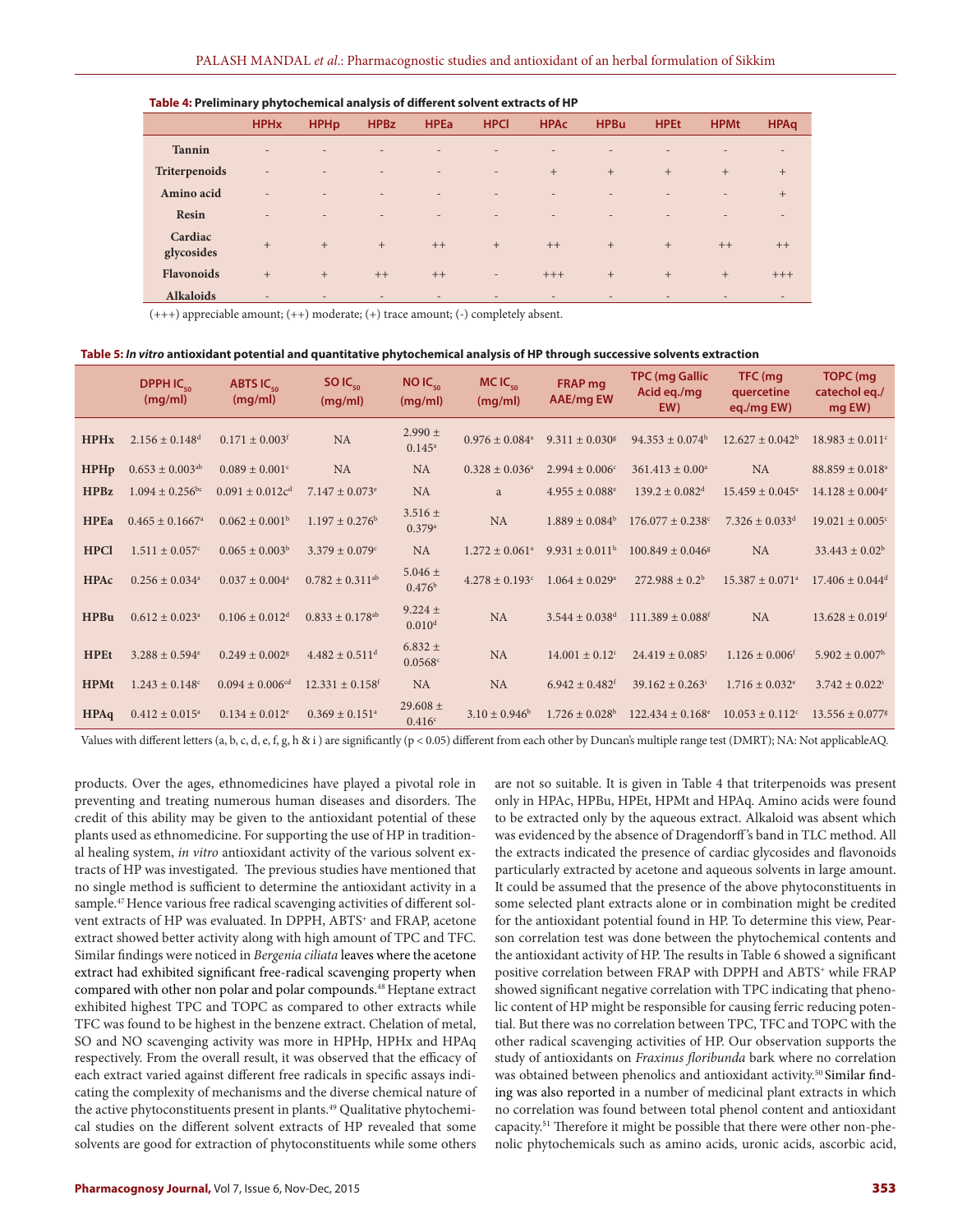#### **Table 4: Preliminary phytochemical analysis of different solvent extracts of HP**

|                       | <b>HPH<sub>x</sub></b>   | <b>HPHp</b>              | <b>HPBz</b>              | <b>HPEa</b>              | <b>HPCI</b>              | <b>HPAc</b>              | <b>HPBu</b>              | <b>HPEt</b>              | <b>HPMt</b>              | <b>HPAq</b>              |
|-----------------------|--------------------------|--------------------------|--------------------------|--------------------------|--------------------------|--------------------------|--------------------------|--------------------------|--------------------------|--------------------------|
| <b>Tannin</b>         | $\overline{\phantom{a}}$ | ٠                        | $\overline{\phantom{a}}$ | $\overline{\phantom{a}}$ | $\overline{\phantom{a}}$ | $\overline{\phantom{a}}$ | $\overline{\phantom{a}}$ | $\overline{\phantom{a}}$ | $\overline{\phantom{a}}$ | $\overline{\phantom{a}}$ |
| Triterpenoids         | $\overline{\phantom{a}}$ | $\overline{\phantom{0}}$ | $\overline{\phantom{a}}$ | $\overline{\phantom{a}}$ | $\overline{\phantom{a}}$ | $+$                      | $+$                      | $+$                      | $+$                      | $+$                      |
| Amino acid            | $\overline{\phantom{a}}$ | ٠                        | $\overline{\phantom{a}}$ | $\overline{\phantom{a}}$ | $\overline{\phantom{a}}$ | $\overline{\phantom{a}}$ | $\overline{\phantom{0}}$ |                          | $\overline{\phantom{a}}$ | $+$                      |
| Resin                 | $\overline{\phantom{a}}$ | $\overline{\phantom{a}}$ | $\overline{a}$           | $\overline{\phantom{a}}$ | $\overline{\phantom{a}}$ | $\overline{\phantom{a}}$ | $\overline{\phantom{a}}$ | $\sim$                   | $\sim$                   | $\overline{\phantom{a}}$ |
| Cardiac<br>glycosides | $+$                      | $+$                      | $+$                      | $++$                     | $+$                      | $++$                     | $+$                      | $+$                      | $++$                     | $++$                     |
| <b>Flavonoids</b>     | $+$                      | $+$                      | $++$                     | $++$                     | $\overline{\phantom{a}}$ | $+++$                    | $+$                      | $+$                      | $+$                      | $+++$                    |
| <b>Alkaloids</b>      | $\overline{\phantom{a}}$ | $\overline{\phantom{0}}$ | $\overline{\phantom{a}}$ | $\overline{\phantom{a}}$ | $\overline{\phantom{0}}$ | $\overline{\phantom{a}}$ | $\sim$                   | $\sim$                   | $\overline{\phantom{a}}$ | $\qquad \qquad -$        |

(+++) appreciable amount; (++) moderate; (+) trace amount; (-) completely absent.

## **Table 5:** *In vitro* **antioxidant potential and quantitative phytochemical analysis of HP through successive solvents extraction**

|             | DPPH IC <sub>co</sub><br>(mq/ml) | <b>ABTS IC.</b><br>(mg/ml)      | $SOIC_{\epsilon_0}$<br>(mq/ml)  | $NOIC_{50}$<br>(mg/ml)              | $MCIC_{\epsilon_0}$<br>(mg/ml) | <b>FRAP</b> mg<br><b>AAE/mg EW</b> | <b>TPC (mg Gallic</b><br>Acid eq./mg<br>EW) | TFC (mg<br>quercetine<br>eg./mg EW) | TOPC (mg<br>catechol eq./<br>mg EW) |
|-------------|----------------------------------|---------------------------------|---------------------------------|-------------------------------------|--------------------------------|------------------------------------|---------------------------------------------|-------------------------------------|-------------------------------------|
| <b>HPHx</b> | $2.156 \pm 0.148$ <sup>d</sup>   | $0.171 \pm 0.003$ <sup>f</sup>  | <b>NA</b>                       | $2.990 \pm$<br>$0.145^{\rm a}$      | $0.976 \pm 0.084$ <sup>a</sup> | $9.311 + 0.030$ <sup>g</sup>       | $94.353 \pm 0.074^{\rm h}$                  | $12.627 \pm 0.042^b$                | $18.983 \pm 0.011$ <sup>c</sup>     |
| <b>HPHp</b> | $0.653 \pm 0.003$ <sup>ab</sup>  | $0.089 \pm 0.001$ <sup>c</sup>  | <b>NA</b>                       | <b>NA</b>                           | $0.328 + 0.036^a$              | $2.994 + 0.006^{\circ}$            | $361.413 \pm 0.00^a$                        | <b>NA</b>                           | $88.859 \pm 0.018$ <sup>a</sup>     |
| <b>HPBz</b> | $1.094 \pm 0.256$ <sup>bc</sup>  | $0.091 \pm 0.012c^d$            | $7.147 \pm 0.073$ <sup>e</sup>  | <b>NA</b>                           | a                              | $4.955 \pm 0.088$ <sup>e</sup>     | $139.2 \pm 0.082$ <sup>d</sup>              | $15.459 + 0.045^{\circ}$            | $14.128 \pm 0.004$ <sup>e</sup>     |
| <b>HPEa</b> | $0.465 \pm 0.1667$ <sup>a</sup>  | $0.062 \pm 0.001^{\rm b}$       | $1.197 \pm 0.276^{\rm b}$       | $3.516 \pm$<br>$0.379$ <sup>a</sup> | NA                             | $1.889 + 0.084^b$                  | $176.077 + 0.238$ c                         | $7.326 \pm 0.033$ <sup>d</sup>      | $19.021 \pm 0.005$ <sup>c</sup>     |
| <b>HPCl</b> | $1.511 \pm 0.057$ <sup>c</sup>   | $0.065 \pm 0.003^b$             | $3.379 \pm 0.079$ °             | <b>NA</b>                           | $1.272 \pm 0.061$ <sup>a</sup> | $9.931 \pm 0.011^{\rm h}$          | $100.849 + 0.046$ <sup>g</sup>              | <b>NA</b>                           | $33.443 \pm 0.02^b$                 |
| <b>HPAc</b> | $0.256 \pm 0.034$ <sup>a</sup>   | $0.037 \pm 0.004^{\circ}$       | $0.782 \pm 0.311$ <sup>ab</sup> | $5.046 \pm$<br>0.476 <sup>b</sup>   | $4.278 \pm 0.193$ <sup>c</sup> | $1.064 \pm 0.029$ <sup>a</sup>     | $272.988 \pm 0.2^b$                         | $15.387 \pm 0.071$ <sup>a</sup>     | $17.406 \pm 0.044$ <sup>d</sup>     |
| <b>HPBu</b> | $0.612 \pm 0.023$ <sup>a</sup>   | $0.106 \pm 0.012^d$             | $0.833 \pm 0.178$ <sup>ab</sup> | $9.224 \pm$<br>0.010 <sup>d</sup>   | <b>NA</b>                      | $3.544 \pm 0.038$ <sup>d</sup>     | $111.389 \pm 0.088$ <sup>f</sup>            | <b>NA</b>                           | $13.628 \pm 0.019$ <sup>f</sup>     |
| <b>HPEt</b> | $3.288 \pm 0.594$ <sup>e</sup>   | $0.249 \pm 0.002$ <sup>g</sup>  | $4.482 \pm 0.511^{\text{d}}$    | $6.832 \pm$<br>0.0568c              | <b>NA</b>                      | $14.001 \pm 0.12^{\mathrm{i}}$     | $24.419 \pm 0.085$                          | $1.126 \pm 0.006$ <sup>t</sup>      | $5.902 \pm 0.007^{\rm h}$           |
| <b>HPMt</b> | $1.243 \pm 0.148$ <sup>c</sup>   | $0.094 \pm 0.006$ <sup>cd</sup> | $12.331 \pm 0.158$ <sup>f</sup> | <b>NA</b>                           | <b>NA</b>                      | $6.942 \pm 0.482$ <sup>f</sup>     | $39.162 + 0.263$                            | $1.716 \pm 0.032$ <sup>e</sup>      | $3.742 \pm 0.022^{\mathrm{i}}$      |
| <b>HPAq</b> | $0.412 \pm 0.015^{\circ}$        | $0.134 \pm 0.012$ <sup>e</sup>  | $0.369 \pm 0.151$ <sup>a</sup>  | 29.608 $\pm$<br>0.416c              | $3.10 \pm 0.946^b$             | $1.726 \pm 0.028^b$                | $122.434 \pm 0.168$ <sup>e</sup>            | $10.053 \pm 0.112$ <sup>c</sup>     | $13.556 \pm 0.077$ <sup>g</sup>     |

Values with different letters (a, b, c, d, e, f, g, h & i ) are significantly (p < 0.05) different from each other by Duncan's multiple range test (DMRT); NA: Not applicableAQ.

products. Over the ages, ethnomedicines have played a pivotal role in preventing and treating numerous human diseases and disorders. The credit of this ability may be given to the antioxidant potential of these plants used as ethnomedicine. For supporting the use of HP in traditional healing system, *in vitro* antioxidant activity of the various solvent extracts of HP was investigated. The previous studies have mentioned that no single method is sufficient to determine the antioxidant activity in a sample.<sup>47</sup> Hence various free radical scavenging activities of different solvent extracts of HP was evaluated. In DPPH, ABTS<sup>+</sup> and FRAP, acetone extract showed better activity along with high amount of TPC and TFC. Similar findings were noticed in *Bergenia ciliata* leaves where the acetone extract had exhibited significant free-radical scavenging property when compared with other non polar and polar compounds.<sup>48</sup> Heptane extract exhibited highest TPC and TOPC as compared to other extracts while TFC was found to be highest in the benzene extract. Chelation of metal, SO and NO scavenging activity was more in HPHp, HPHx and HPAq respectively. From the overall result, it was observed that the efficacy of each extract varied against different free radicals in specific assays indicating the complexity of mechanisms and the diverse chemical nature of the active phytoconstituents present in plants.<sup>49</sup> Qualitative phytochemical studies on the different solvent extracts of HP revealed that some solvents are good for extraction of phytoconstituents while some others

are not so suitable. It is given in Table 4 that triterpenoids was present only in HPAc, HPBu, HPEt, HPMt and HPAq. Amino acids were found to be extracted only by the aqueous extract. Alkaloid was absent which was evidenced by the absence of Dragendorff 's band in TLC method. All the extracts indicated the presence of cardiac glycosides and flavonoids particularly extracted by acetone and aqueous solvents in large amount. It could be assumed that the presence of the above phytoconstituents in some selected plant extracts alone or in combination might be credited for the antioxidant potential found in HP. To determine this view, Pearson correlation test was done between the phytochemical contents and the antioxidant activity of HP. The results in Table 6 showed a significant positive correlation between FRAP with DPPH and ABTS<sup>+</sup> while FRAP showed significant negative correlation with TPC indicating that phenolic content of HP might be responsible for causing ferric reducing potential. But there was no correlation between TPC, TFC and TOPC with the other radical scavenging activities of HP. Our observation supports the study of antioxidants on *Fraxinus floribunda* bark where no correlation was obtained between phenolics and antioxidant activity.<sup>50</sup> Similar finding was also reported in a number of medicinal plant extracts in which no correlation was found between total phenol content and antioxidant capacity.51 Therefore it might be possible that there were other non-phenolic phytochemicals such as amino acids, uronic acids, ascorbic acid,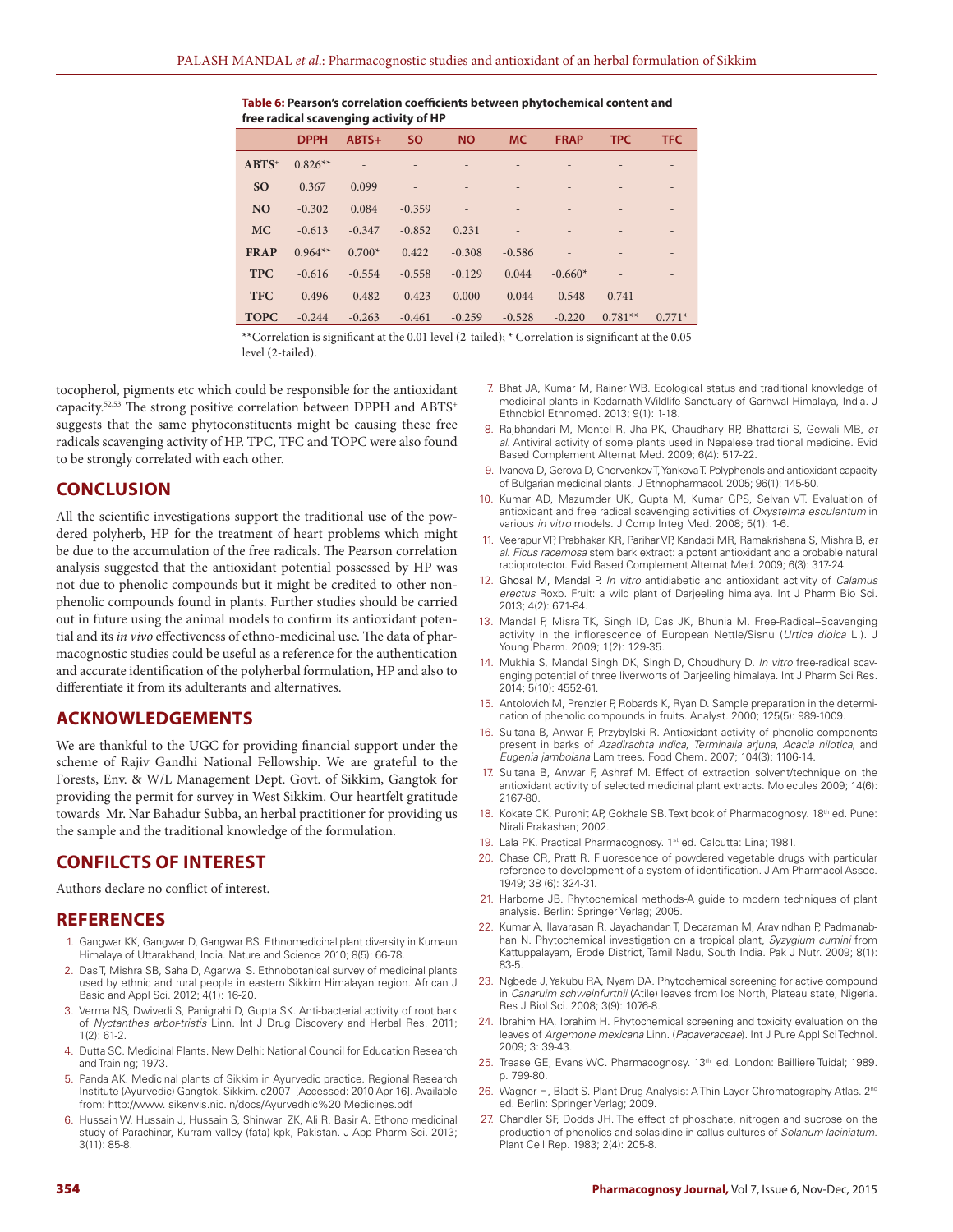**Table 6: Pearson's correlation coefficients between phytochemical content and free radical scavenging activity of HP**

|             | <b>DPPH</b> | $ABTS+$  | <b>SO</b> | <b>NO</b>                | <b>MC</b>                | <b>FRAP</b> | <b>TPC</b> | <b>TFC</b>               |
|-------------|-------------|----------|-----------|--------------------------|--------------------------|-------------|------------|--------------------------|
| $ABTS^+$    | $0.826**$   | 45       |           |                          | $\overline{\phantom{0}}$ |             |            | $\overline{\phantom{0}}$ |
| <b>SO</b>   | 0.367       | 0.099    | $\sim$    |                          | $\overline{\phantom{a}}$ |             |            | $\overline{\phantom{0}}$ |
| <b>NO</b>   | $-0.302$    | 0.084    | $-0.359$  | $\overline{\phantom{a}}$ | $\overline{\phantom{a}}$ |             |            | $\overline{\phantom{0}}$ |
| <b>MC</b>   | $-0.613$    | $-0.347$ | $-0.852$  | 0.231                    | $\overline{\phantom{a}}$ |             |            | $\overline{\phantom{0}}$ |
| <b>FRAP</b> | $0.964**$   | $0.700*$ | 0.422     | $-0.308$                 | $-0.586$                 |             |            | $\overline{\phantom{0}}$ |
| <b>TPC</b>  | $-0.616$    | $-0.554$ | $-0.558$  | $-0.129$                 | 0.044                    | $-0.660*$   |            |                          |
| <b>TFC</b>  | $-0.496$    | $-0.482$ | $-0.423$  | 0.000                    | $-0.044$                 | $-0.548$    | 0.741      | $\overline{a}$           |
| <b>TOPC</b> | $-0.244$    | $-0.263$ | $-0.461$  | $-0.259$                 | $-0.528$                 | $-0.220$    | $0.781**$  | $0.771*$                 |

\*\*Correlation is significant at the 0.01 level (2-tailed); \* Correlation is significant at the 0.05 level (2-tailed).

tocopherol, pigments etc which could be responsible for the antioxidant capacity.<sup>52,53</sup> The strong positive correlation between DPPH and ABTS<sup>+</sup> suggests that the same phytoconstituents might be causing these free radicals scavenging activity of HP. TPC, TFC and TOPC were also found to be strongly correlated with each other.

# **CONCLUSION**

All the scientific investigations support the traditional use of the powdered polyherb, HP for the treatment of heart problems which might be due to the accumulation of the free radicals. The Pearson correlation analysis suggested that the antioxidant potential possessed by HP was not due to phenolic compounds but it might be credited to other nonphenolic compounds found in plants. Further studies should be carried out in future using the animal models to confirm its antioxidant potential and its *in vivo* effectiveness of ethno-medicinal use. The data of pharmacognostic studies could be useful as a reference for the authentication and accurate identification of the polyherbal formulation, HP and also to differentiate it from its adulterants and alternatives.

# **ACKNOWLEDGEMENTS**

We are thankful to the UGC for providing financial support under the scheme of Rajiv Gandhi National Fellowship. We are grateful to the Forests, Env. & W/L Management Dept. Govt. of Sikkim, Gangtok for providing the permit for survey in West Sikkim. Our heartfelt gratitude towards Mr. Nar Bahadur Subba, an herbal practitioner for providing us the sample and the traditional knowledge of the formulation.

# **CONFILCTS OF INTEREST**

Authors declare no conflict of interest.

## **REFERENCES**

- 1. Gangwar KK, Gangwar D, Gangwar RS. Ethnomedicinal plant diversity in Kumaun Himalaya of Uttarakhand, India. Nature and Science 2010; 8(5): 66-78.
- 2. Das T, Mishra SB, Saha D, Agarwal S. Ethnobotanical survey of medicinal plants used by ethnic and rural people in eastern Sikkim Himalayan region. African J Basic and Appl Sci. 2012; 4(1): 16-20.
- 3. Verma NS, Dwivedi S, Panigrahi D, Gupta SK. Anti-bacterial activity of root bark of *Nyctanthes arbor-tristis* Linn. Int J Drug Discovery and Herbal Res. 2011; 1(2): 61-2.
- 4. Dutta SC. Medicinal Plants. New Delhi: National Council for Education Research and Training; 1973.
- 5. Panda AK. Medicinal plants of Sikkim in Ayurvedic practice. Regional Research Institute (Ayurvedic) Gangtok, Sikkim. c2007- [Accessed: 2010 Apr 16]. Available from: http://www. sikenvis.nic.in/docs/Ayurvedhic%20 Medicines.pdf
- 6. Hussain W, Hussain J, Hussain S, Shinwari ZK, Ali R, Basir A. Ethono medicinal study of Parachinar, Kurram valley (fata) kpk, Pakistan. J App Pharm Sci. 2013; 3(11): 85-8.
- 7. Bhat JA, Kumar M, Rainer WB. Ecological status and traditional knowledge of medicinal plants in Kedarnath Wildlife Sanctuary of Garhwal Himalaya, India. J Ethnobiol Ethnomed. 2013; 9(1): 1-18.
- 8. Rajbhandari M, Mentel R, Jha PK, Chaudhary RP, Bhattarai S, Gewali MB, *et al*. Antiviral activity of some plants used in Nepalese traditional medicine. Evid Based Complement Alternat Med. 2009; 6(4): 517-22.
- 9. Ivanova D, Gerova D, Chervenkov T, Yankova T. Polyphenols and antioxidant capacity of Bulgarian medicinal plants. J Ethnopharmacol. 2005; 96(1): 145-50.
- 10. Kumar AD, Mazumder UK, Gupta M, Kumar GPS, Selvan VT. Evaluation of antioxidant and free radical scavenging activities of *Oxystelma esculentum* in various *in vitro* models. J Comp Integ Med. 2008; 5(1): 1-6.
- 11. Veerapur VP, Prabhakar KR, Parihar VP, Kandadi MR, Ramakrishana S, Mishra B, *et al*. *Ficus racemosa* stem bark extract: a potent antioxidant and a probable natural radioprotector. Evid Based Complement Alternat Med. 2009; 6(3): 317-24.
- 12. Ghosal M, Mandal P. *In vitro* antidiabetic and antioxidant activity of *Calamus erectus* Roxb. Fruit: a wild plant of Darjeeling himalaya. Int J Pharm Bio Sci. 2013; 4(2): 671-84.
- 13. Mandal P, Misra TK, Singh ID, Das JK, Bhunia M. Free-Radical–Scavenging activity in the inflorescence of European Nettle/Sisnu (*Urtica dioica* L.). J Young Pharm. 2009; 1(2): 129-35.
- 14. Mukhia S, Mandal Singh DK, Singh D, Choudhury D. *In vitro* free-radical scavenging potential of three liverworts of Darjeeling himalaya. Int J Pharm Sci Res. 2014; 5(10): 4552-61.
- 15. Antolovich M, Prenzler P, Robards K, Ryan D. Sample preparation in the determination of phenolic compounds in fruits. Analyst. 2000; 125(5): 989-1009.
- 16. Sultana B, Anwar F, Przybylski R. Antioxidant activity of phenolic components present in barks of *Azadirachta indica*, *Terminalia arjuna*, *Acacia nilotica*, and *Eugenia jambolana* Lam trees. Food Chem. 2007; 104(3): 1106-14.
- 17. Sultana B, Anwar F, Ashraf M. Effect of extraction solvent/technique on the antioxidant activity of selected medicinal plant extracts. Molecules 2009; 14(6): 2167-80.
- 18. Kokate CK, Purohit AP, Gokhale SB. Text book of Pharmacognosy. 18<sup>th</sup> ed. Pune: Nirali Prakashan; 2002.
- 19. Lala PK. Practical Pharmacognosy. 1<sup>st</sup> ed. Calcutta: Lina; 1981.
- 20. Chase CR, Pratt R. Fluorescence of powdered vegetable drugs with particular reference to development of a system of identification. J Am Pharmacol Assoc. 1949; 38 (6): 324-31.
- 21. Harborne JB. Phytochemical methods-A guide to modern techniques of plant analysis. Berlin: Springer Verlag; 2005.
- 22. Kumar A, Ilavarasan R, Jayachandan T, Decaraman M, Aravindhan P, Padmanabhan N. Phytochemical investigation on a tropical plant, *Syzygium cumini* from Kattuppalayam, Erode District, Tamil Nadu, South India. Pak J Nutr. 2009; 8(1): 83-5.
- 23. Ngbede J, Yakubu RA, Nyam DA. Phytochemical screening for active compound in *Canaruim schweinfurthii* (Atile) leaves from Ios North, Plateau state, Nigeria. Res J Biol Sci. 2008; 3(9): 1076-8.
- 24. Ibrahim HA, Ibrahim H. Phytochemical screening and toxicity evaluation on the leaves of *Argemone mexicana* Linn. (*Papaveraceae*). Int J Pure Appl Sci Technol. 2009; 3: 39-43.
- 25. Trease GE, Evans WC. Pharmacognosy. 13<sup>th</sup> ed. London: Bailliere Tuidal; 1989. p. 799-80.
- 26. Wagner H, Bladt S. Plant Drug Analysis: A Thin Layer Chromatography Atlas. 2<sup>nd</sup> ed. Berlin: Springer Verlag; 2009.
- 27. Chandler SF, Dodds JH. The effect of phosphate, nitrogen and sucrose on the production of phenolics and solasidine in callus cultures of *Solanum laciniatum*. Plant Cell Rep. 1983; 2(4): 205-8.